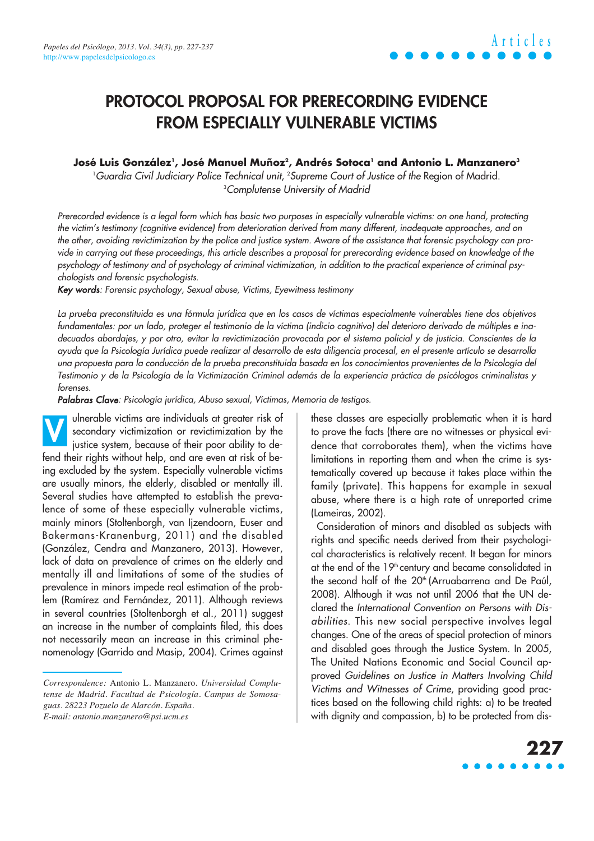# **PROTOCOL PROPOSAL FOR PRERECORDING EVIDENCE FROM ESPECIALLY VULNERABLE VICTIMS**

#### José Luis González', José Manuel Muñoz<sup>2</sup>, Andrés Sotoca' and Antonio L. Manzanero<sup>3</sup>

1 Guardia Civil Judiciary Police Technical unit, 2 Supreme Court of Justice of the Region of Madrid. 3 Complutense University of Madrid

Prerecorded evidence is a legal form which has basic two purposes in especially vulnerable victims: on one hand, protecting the victim's testimony (cognitive evidence) from deterioration derived from many different, inadequate approaches, and on the other, avoiding revictimization by the police and justice system. Aware of the assistance that forensic psychology can provide in carrying out these proceedings, this article describes a proposal for prerecording evidence based on knowledge of the psychology of testimony and of psychology of criminal victimization, in addition to the practical experience of criminal psychologists and forensic psychologists.

Key words: Forensic psychology, Sexual abuse, Victims, Eyewitness testimony

La prueba preconstituida es una fórmula jurídica que en los casos de víctimas especialmente vulnerables tiene dos objetivos fundamentales: por un lado, proteger el testimonio de la víctima (indicio cognitivo) del deterioro derivado de múltiples e inadecuados abordajes, y por otro, evitar la revictimización provocada por el sistema policial y de justicia. Conscientes de la ayuda que la Psicología Jurídica puede realizar al desarrollo de esta diligencia procesal, en el presente artículo se desarrolla una propuesta para la conducción de la prueba preconstituida basada en los conocimientos provenientes de la Psicología del Testimonio y de la Psicología de la Victimización Criminal además de la experiencia práctica de psicólogos criminalistas y forenses.

Palabras Clave: Psicología jurídica, Abuso sexual, Víctimas, Memoria de testigos.

ulnerable victims are individuals at greater risk of secondary victimization or revictimization by the justice system, because of their poor ability to defend their rights without help, and are even at risk of being excluded by the system. Especially vulnerable victims are usually minors, the elderly, disabled or mentally ill. Several studies have attempted to establish the prevalence of some of these especially vulnerable victims, mainly minors (Stoltenborgh, van Ijzendoorn, Euser and Bakermans-Kranenburg, 2011) and the disabled (González, Cendra and Manzanero, 2013). However, lack of data on prevalence of crimes on the elderly and mentally ill and limitations of some of the studies of prevalence in minors impede real estimation of the problem (Ramírez and Fernández, 2011). Although reviews in several countries (Stoltenborgh et al., 2011) suggest an increase in the number of complaints filed, this does not necessarily mean an increase in this criminal phenomenology (Garrido and Masip, 2004). Crimes against **V**

these classes are especially problematic when it is hard to prove the facts (there are no witnesses or physical evidence that corroborates them), when the victims have limitations in reporting them and when the crime is systematically covered up because it takes place within the family (private). This happens for example in sexual abuse, where there is a high rate of unreported crime (Lameiras, 2002).

Consideration of minors and disabled as subjects with rights and specific needs derived from their psychological characteristics is relatively recent. It began for minors at the end of the 19<sup>th</sup> century and became consolidated in the second half of the 20<sup>th</sup> (Arruabarrena and De Paúl, 2008). Although it was not until 2006 that the UN declared the International Convention on Persons with Disabilities. This new social perspective involves legal changes. One of the areas of special protection of minors and disabled goes through the Justice System. In 2005, The United Nations Economic and Social Council approved Guidelines on Justice in Matters Involving Child Victims and Witnesses of Crime, providing good practices based on the following child rights: a) to be treated with dignity and compassion, b) to be protected from dis-

# **227**

*Correspondence:* Antonio L. Manzanero. *Universidad Complutense de Madrid. Facultad de Psicología. Campus de Somosaguas. 28223 Pozuelo de Alarcón. España. E-mail: antonio.manzanero@psi.ucm.es*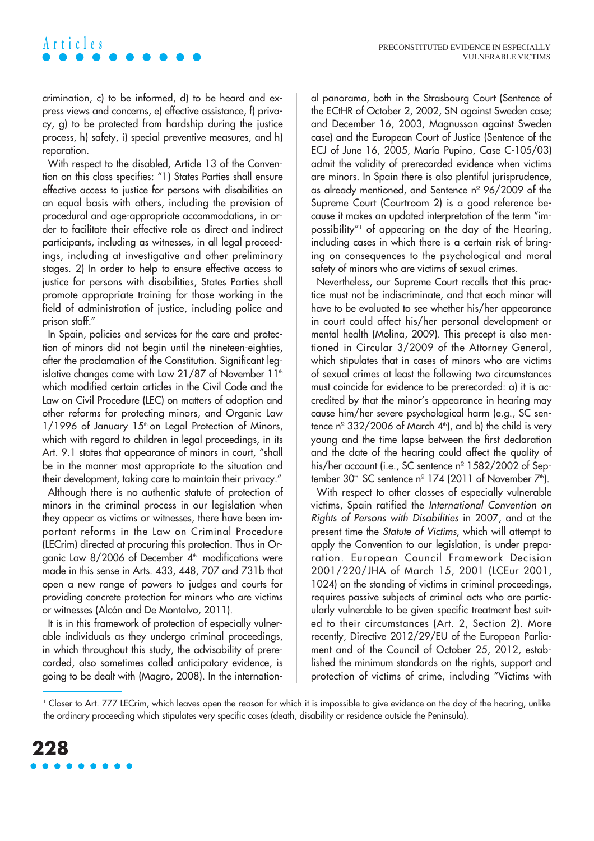crimination, c) to be informed, d) to be heard and express views and concerns, e) effective assistance, f) privacy, g) to be protected from hardship during the justice process, h) safety, i) special preventive measures, and h) reparation.

**Articles**

With respect to the disabled, Article 13 of the Convention on this class specifies: "1) States Parties shall ensure effective access to justice for persons with disabilities on an equal basis with others, including the provision of procedural and age-appropriate accommodations, in order to facilitate their effective role as direct and indirect participants, including as witnesses, in all legal proceedings, including at investigative and other preliminary stages. 2) In order to help to ensure effective access to justice for persons with disabilities, States Parties shall promote appropriate training for those working in the field of administration of justice, including police and prison staff."

In Spain, policies and services for the care and protection of minors did not begin until the nineteen-eighties, after the proclamation of the Constitution. Significant legislative changes came with Law 21/87 of November  $11<sup>th</sup>$ which modified certain articles in the Civil Code and the Law on Civil Procedure (LEC) on matters of adoption and other reforms for protecting minors, and Organic Law 1/1996 of January 15<sup>th</sup> on Legal Protection of Minors, which with regard to children in legal proceedings, in its Art. 9.1 states that appearance of minors in court, "shall be in the manner most appropriate to the situation and their development, taking care to maintain their privacy."

Although there is no authentic statute of protection of minors in the criminal process in our legislation when they appear as victims or witnesses, there have been important reforms in the Law on Criminal Procedure (LECrim) directed at procuring this protection. Thus in Organic Law  $8/2006$  of December  $4<sup>th</sup>$  modifications were made in this sense in Arts. 433, 448, 707 and 731b that open a new range of powers to judges and courts for providing concrete protection for minors who are victims or witnesses (Alcón and De Montalvo, 2011).

It is in this framework of protection of especially vulnerable individuals as they undergo criminal proceedings, in which throughout this study, the advisability of prerecorded, also sometimes called anticipatory evidence, is going to be dealt with (Magro, 2008). In the international panorama, both in the Strasbourg Court (Sentence of the ECtHR of October 2, 2002, SN against Sweden case; and December 16, 2003, Magnusson against Sweden case) and the European Court of Justice (Sentence of the ECJ of June 16, 2005, María Pupino, Case C-105/03) admit the validity of prerecorded evidence when victims are minors. In Spain there is also plentiful jurisprudence, as already mentioned, and Sentence nº 96/2009 of the Supreme Court (Courtroom 2) is a good reference because it makes an updated interpretation of the term "impossibility"1 of appearing on the day of the Hearing, including cases in which there is a certain risk of bringing on consequences to the psychological and moral safety of minors who are victims of sexual crimes.

Nevertheless, our Supreme Court recalls that this practice must not be indiscriminate, and that each minor will have to be evaluated to see whether his/her appearance in court could affect his/her personal development or mental health (Molina, 2009). This precept is also mentioned in Circular 3/2009 of the Attorney General, which stipulates that in cases of minors who are victims of sexual crimes at least the following two circumstances must coincide for evidence to be prerecorded: a) it is accredited by that the minor's appearance in hearing may cause him/her severe psychological harm (e.g., SC sentence  $n^{\circ}$  332/2006 of March  $4^{\circ}$ , and b) the child is very young and the time lapse between the first declaration and the date of the hearing could affect the quality of his/her account (i.e., SC sentence nº 1582/2002 of September 30<sup>th</sup> SC sentence n<sup>o</sup> 174 (2011 of November  $7<sup>th</sup>$ ).

With respect to other classes of especially vulnerable victims, Spain ratified the International Convention on Rights of Persons with Disabilities in 2007, and at the present time the Statute of Victims, which will attempt to apply the Convention to our legislation, is under preparation. European Council Framework Decision 2001/220/JHA of March 15, 2001 (LCEur 2001, 1024) on the standing of victims in criminal proceedings, requires passive subjects of criminal acts who are particularly vulnerable to be given specific treatment best suited to their circumstances (Art. 2, Section 2). More recently, Directive 2012/29/EU of the European Parliament and of the Council of October 25, 2012, established the minimum standards on the rights, support and protection of victims of crime, including "Victims with

<sup>1</sup> Closer to Art. 777 LECrim, which leaves open the reason for which it is impossible to give evidence on the day of the hearing, unlike the ordinary proceeding which stipulates very specific cases (death, disability or residence outside the Peninsula).

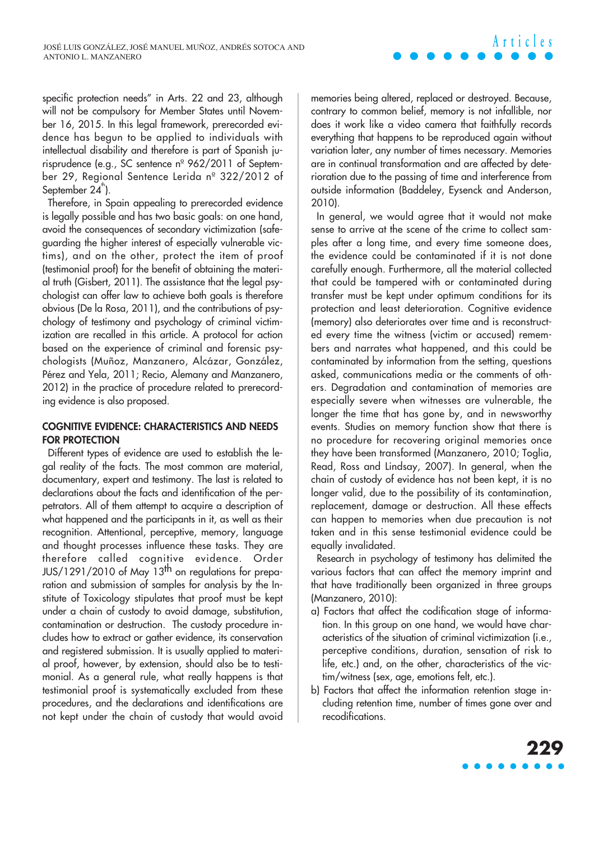specific protection needs" in Arts. 22 and 23, although will not be compulsory for Member States until November 16, 2015. In this legal framework, prerecorded evidence has begun to be applied to individuals with intellectual disability and therefore is part of Spanish jurisprudence (e.g., SC sentence nº 962/2011 of September 29, Regional Sentence Lerida nº 322/2012 of September  $24^{\degree}$ ).

Therefore, in Spain appealing to prerecorded evidence is legally possible and has two basic goals: on one hand, avoid the consequences of secondary victimization (safeguarding the higher interest of especially vulnerable victims), and on the other, protect the item of proof (testimonial proof) for the benefit of obtaining the material truth (Gisbert, 2011). The assistance that the legal psychologist can offer law to achieve both goals is therefore obvious (De la Rosa, 2011), and the contributions of psychology of testimony and psychology of criminal victimization are recalled in this article. A protocol for action based on the experience of criminal and forensic psychologists (Muñoz, Manzanero, Alcázar, González, Pérez and Yela, 2011; Recio, Alemany and Manzanero, 2012) in the practice of procedure related to prerecording evidence is also proposed.

#### **COGNITIVE EVIDENCE: CHARACTERISTICS AND NEEDS FOR PROTECTION**

Different types of evidence are used to establish the legal reality of the facts. The most common are material, documentary, expert and testimony. The last is related to declarations about the facts and identification of the perpetrators. All of them attempt to acquire a description of what happened and the participants in it, as well as their recognition. Attentional, perceptive, memory, language and thought processes influence these tasks. They are therefore called cognitive evidence. Order JUS/1291/2010 of May 13<sup>th</sup> on regulations for preparation and submission of samples for analysis by the Institute of Toxicology stipulates that proof must be kept under a chain of custody to avoid damage, substitution, contamination or destruction. The custody procedure includes how to extract or gather evidence, its conservation and registered submission. It is usually applied to material proof, however, by extension, should also be to testimonial. As a general rule, what really happens is that testimonial proof is systematically excluded from these procedures, and the declarations and identifications are not kept under the chain of custody that would avoid

memories being altered, replaced or destroyed. Because, contrary to common belief, memory is not infallible, nor does it work like a video camera that faithfully records everything that happens to be reproduced again without variation later, any number of times necessary. Memories are in continual transformation and are affected by deterioration due to the passing of time and interference from outside information (Baddeley, Eysenck and Anderson, 2010).

**Articles**

In general, we would agree that it would not make sense to arrive at the scene of the crime to collect samples after a long time, and every time someone does, the evidence could be contaminated if it is not done carefully enough. Furthermore, all the material collected that could be tampered with or contaminated during transfer must be kept under optimum conditions for its protection and least deterioration. Cognitive evidence (memory) also deteriorates over time and is reconstructed every time the witness (victim or accused) remembers and narrates what happened, and this could be contaminated by information from the setting, questions asked, communications media or the comments of others. Degradation and contamination of memories are especially severe when witnesses are vulnerable, the longer the time that has gone by, and in newsworthy events. Studies on memory function show that there is no procedure for recovering original memories once they have been transformed (Manzanero, 2010; Toglia, Read, Ross and Lindsay, 2007). In general, when the chain of custody of evidence has not been kept, it is no longer valid, due to the possibility of its contamination, replacement, damage or destruction. All these effects can happen to memories when due precaution is not taken and in this sense testimonial evidence could be equally invalidated.

Research in psychology of testimony has delimited the various factors that can affect the memory imprint and that have traditionally been organized in three groups (Manzanero, 2010):

- a) Factors that affect the codification stage of information. In this group on one hand, we would have characteristics of the situation of criminal victimization (i.e., perceptive conditions, duration, sensation of risk to life, etc.) and, on the other, characteristics of the victim/witness (sex, age, emotions felt, etc.).
- b) Factors that affect the information retention stage including retention time, number of times gone over and recodifications.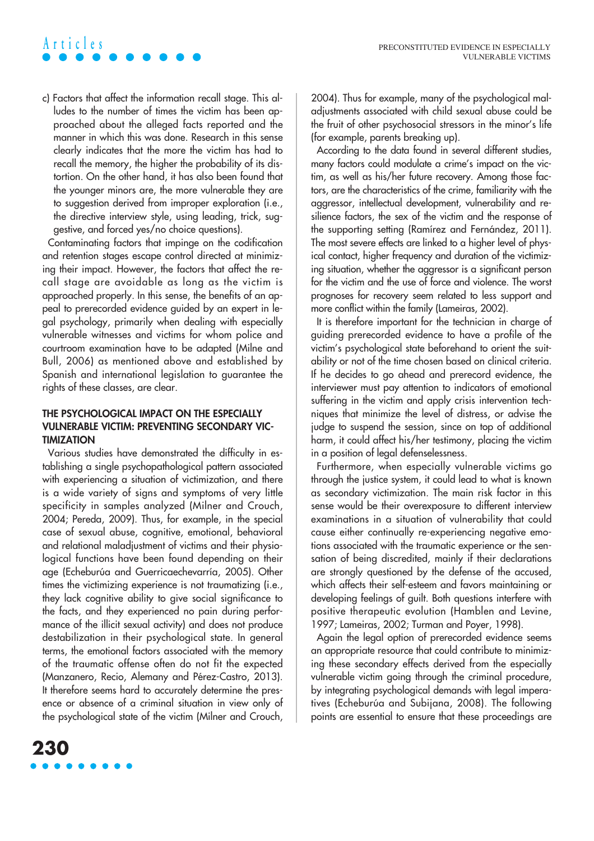# **Articles**

c) Factors that affect the information recall stage. This alludes to the number of times the victim has been approached about the alleged facts reported and the manner in which this was done. Research in this sense clearly indicates that the more the victim has had to recall the memory, the higher the probability of its distortion. On the other hand, it has also been found that the younger minors are, the more vulnerable they are to suggestion derived from improper exploration (i.e., the directive interview style, using leading, trick, suggestive, and forced yes/no choice questions).

Contaminating factors that impinge on the codification and retention stages escape control directed at minimizing their impact. However, the factors that affect the recall stage are avoidable as long as the victim is approached properly. In this sense, the benefits of an appeal to prerecorded evidence guided by an expert in legal psychology, primarily when dealing with especially vulnerable witnesses and victims for whom police and courtroom examination have to be adapted (Milne and Bull, 2006) as mentioned above and established by Spanish and international legislation to guarantee the rights of these classes, are clear.

### **THE PSYCHOLOGICAL IMPACT ON THE ESPECIALLY VULNERABLE VICTIM: PREVENTING SECONDARY VIC-TIMIZATION**

Various studies have demonstrated the difficulty in establishing a single psychopathological pattern associated with experiencing a situation of victimization, and there is a wide variety of signs and symptoms of very little specificity in samples analyzed (Milner and Crouch, 2004; Pereda, 2009). Thus, for example, in the special case of sexual abuse, cognitive, emotional, behavioral and relational maladjustment of victims and their physiological functions have been found depending on their age (Echeburúa and Guerricaechevarría, 2005). Other times the victimizing experience is not traumatizing (i.e., they lack cognitive ability to give social significance to the facts, and they experienced no pain during performance of the illicit sexual activity) and does not produce destabilization in their psychological state. In general terms, the emotional factors associated with the memory of the traumatic offense often do not fit the expected (Manzanero, Recio, Alemany and Pérez-Castro, 2013). It therefore seems hard to accurately determine the presence or absence of a criminal situation in view only of the psychological state of the victim (Milner and Crouch,

2004). Thus for example, many of the psychological maladjustments associated with child sexual abuse could be the fruit of other psychosocial stressors in the minor's life (for example, parents breaking up).

According to the data found in several different studies, many factors could modulate a crime's impact on the victim, as well as his/her future recovery. Among those factors, are the characteristics of the crime, familiarity with the aggressor, intellectual development, vulnerability and resilience factors, the sex of the victim and the response of the supporting setting (Ramírez and Fernández, 2011). The most severe effects are linked to a higher level of physical contact, higher frequency and duration of the victimizing situation, whether the aggressor is a significant person for the victim and the use of force and violence. The worst prognoses for recovery seem related to less support and more conflict within the family (Lameiras, 2002).

It is therefore important for the technician in charge of guiding prerecorded evidence to have a profile of the victim's psychological state beforehand to orient the suitability or not of the time chosen based on clinical criteria. If he decides to go ahead and prerecord evidence, the interviewer must pay attention to indicators of emotional suffering in the victim and apply crisis intervention techniques that minimize the level of distress, or advise the judge to suspend the session, since on top of additional harm, it could affect his/her testimony, placing the victim in a position of legal defenselessness.

Furthermore, when especially vulnerable victims go through the justice system, it could lead to what is known as secondary victimization. The main risk factor in this sense would be their overexposure to different interview examinations in a situation of vulnerability that could cause either continually re-experiencing negative emotions associated with the traumatic experience or the sensation of being discredited, mainly if their declarations are strongly questioned by the defense of the accused, which affects their self-esteem and favors maintaining or developing feelings of guilt. Both questions interfere with positive therapeutic evolution (Hamblen and Levine, 1997; Lameiras, 2002; Turman and Poyer, 1998).

Again the legal option of prerecorded evidence seems an appropriate resource that could contribute to minimizing these secondary effects derived from the especially vulnerable victim going through the criminal procedure, by integrating psychological demands with legal imperatives (Echeburúa and Subijana, 2008). The following points are essential to ensure that these proceedings are

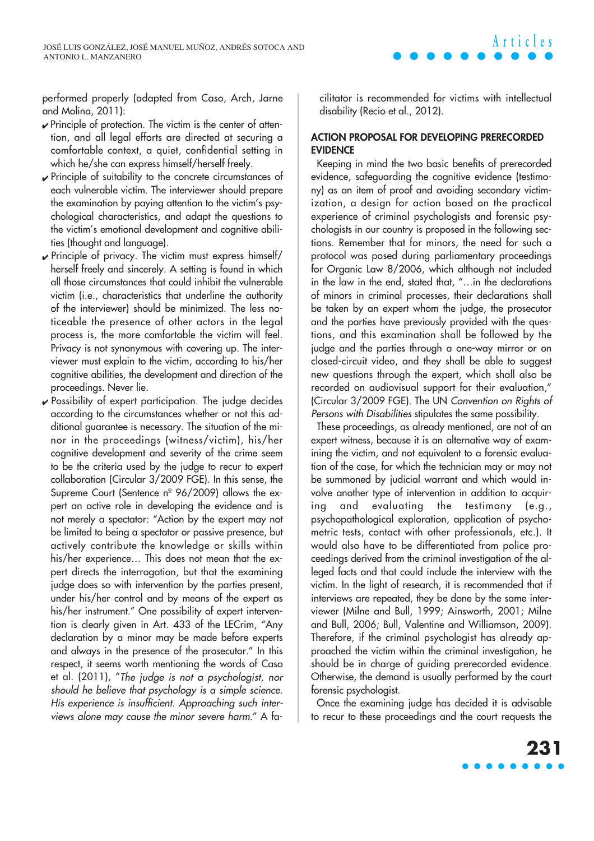performed properly (adapted from Caso, Arch, Jarne and Molina, 2011):

- ✔ Principle of protection. The victim is the center of attention, and all legal efforts are directed at securing a comfortable context, a quiet, confidential setting in which he/she can express himself/herself freely.
- ✔ Principle of suitability to the concrete circumstances of each vulnerable victim. The interviewer should prepare the examination by paying attention to the victim's psychological characteristics, and adapt the questions to the victim's emotional development and cognitive abilities (thought and language).
- ✔ Principle of privacy. The victim must express himself/ herself freely and sincerely. A setting is found in which all those circumstances that could inhibit the vulnerable victim (i.e., characteristics that underline the authority of the interviewer) should be minimized. The less noticeable the presence of other actors in the legal process is, the more comfortable the victim will feel. Privacy is not synonymous with covering up. The interviewer must explain to the victim, according to his/her cognitive abilities, the development and direction of the proceedings. Never lie.
- $\checkmark$  Possibility of expert participation. The judge decides according to the circumstances whether or not this additional guarantee is necessary. The situation of the minor in the proceedings (witness/victim), his/her cognitive development and severity of the crime seem to be the criteria used by the judge to recur to expert collaboration (Circular 3/2009 FGE). In this sense, the Supreme Court (Sentence nº 96/2009) allows the expert an active role in developing the evidence and is not merely a spectator: "Action by the expert may not be limited to being a spectator or passive presence, but actively contribute the knowledge or skills within his/her experience… This does not mean that the expert directs the interrogation, but that the examining judge does so with intervention by the parties present, under his/her control and by means of the expert as his/her instrument." One possibility of expert intervention is clearly given in Art. 433 of the LECrim, "Any declaration by a minor may be made before experts and always in the presence of the prosecutor." In this respect, it seems worth mentioning the words of Caso et al. (2011), "The judge is not a psychologist, nor should he believe that psychology is a simple science. His experience is insufficient. Approaching such interviews alone may cause the minor severe harm." A fa-

cilitator is recommended for victims with intellectual disability (Recio et al., 2012).

### **ACTION PROPOSAL FOR DEVELOPING PRERECORDED EVIDENCE**

Keeping in mind the two basic benefits of prerecorded evidence, safeguarding the cognitive evidence (testimony) as an item of proof and avoiding secondary victimization, a design for action based on the practical experience of criminal psychologists and forensic psychologists in our country is proposed in the following sections. Remember that for minors, the need for such a protocol was posed during parliamentary proceedings for Organic Law 8/2006, which although not included in the law in the end, stated that, "…in the declarations of minors in criminal processes, their declarations shall be taken by an expert whom the judge, the prosecutor and the parties have previously provided with the questions, and this examination shall be followed by the judge and the parties through a one-way mirror or on closed-circuit video, and they shall be able to suggest new questions through the expert, which shall also be recorded on audiovisual support for their evaluation," (Circular 3/2009 FGE). The UN Convention on Rights of Persons with Disabilities stipulates the same possibility.

These proceedings, as already mentioned, are not of an expert witness, because it is an alternative way of examining the victim, and not equivalent to a forensic evaluation of the case, for which the technician may or may not be summoned by judicial warrant and which would involve another type of intervention in addition to acquiring and evaluating the testimony (e.g., psychopathological exploration, application of psychometric tests, contact with other professionals, etc.). It would also have to be differentiated from police proceedings derived from the criminal investigation of the alleged facts and that could include the interview with the victim. In the light of research, it is recommended that if interviews are repeated, they be done by the same interviewer (Milne and Bull, 1999; Ainsworth, 2001; Milne and Bull, 2006; Bull, Valentine and Williamson, 2009). Therefore, if the criminal psychologist has already approached the victim within the criminal investigation, he should be in charge of guiding prerecorded evidence. Otherwise, the demand is usually performed by the court forensic psychologist.

Once the examining judge has decided it is advisable to recur to these proceedings and the court requests the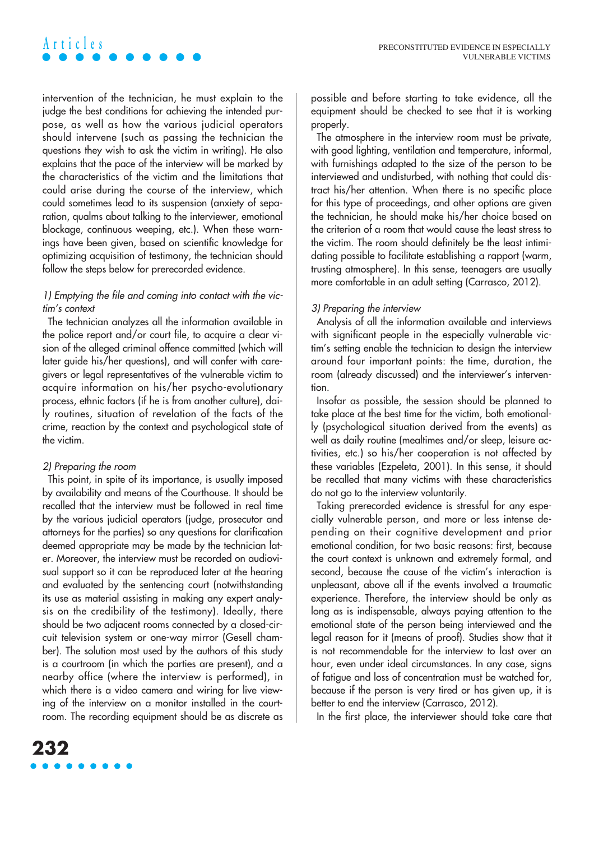## intervention of the technician, he must explain to the judge the best conditions for achieving the intended purpose, as well as how the various judicial operators should intervene (such as passing the technician the questions they wish to ask the victim in writing). He also explains that the pace of the interview will be marked by the characteristics of the victim and the limitations that could arise during the course of the interview, which could sometimes lead to its suspension (anxiety of separation, qualms about talking to the interviewer, emotional blockage, continuous weeping, etc.). When these warnings have been given, based on scientific knowledge for

## 1) Emptying the file and coming into contact with the victim's context

optimizing acquisition of testimony, the technician should

follow the steps below for prerecorded evidence.

The technician analyzes all the information available in the police report and/or court file, to acquire a clear vision of the alleged criminal offence committed (which will later guide his/her questions), and will confer with caregivers or legal representatives of the vulnerable victim to acquire information on his/her psycho-evolutionary process, ethnic factors (if he is from another culture), daily routines, situation of revelation of the facts of the crime, reaction by the context and psychological state of the victim.

#### 2) Preparing the room

**Articles**

This point, in spite of its importance, is usually imposed by availability and means of the Courthouse. It should be recalled that the interview must be followed in real time by the various judicial operators (judge, prosecutor and attorneys for the parties) so any questions for clarification deemed appropriate may be made by the technician later. Moreover, the interview must be recorded on audiovisual support so it can be reproduced later at the hearing and evaluated by the sentencing court (notwithstanding its use as material assisting in making any expert analysis on the credibility of the testimony). Ideally, there should be two adjacent rooms connected by a closed-circuit television system or one-way mirror (Gesell chamber). The solution most used by the authors of this study is a courtroom (in which the parties are present), and a nearby office (where the interview is performed), in which there is a video camera and wiring for live viewing of the interview on a monitor installed in the courtroom. The recording equipment should be as discrete as

possible and before starting to take evidence, all the equipment should be checked to see that it is working properly.

The atmosphere in the interview room must be private, with good lighting, ventilation and temperature, informal, with furnishings adapted to the size of the person to be interviewed and undisturbed, with nothing that could distract his/her attention. When there is no specific place for this type of proceedings, and other options are given the technician, he should make his/her choice based on the criterion of a room that would cause the least stress to the victim. The room should definitely be the least intimidating possible to facilitate establishing a rapport (warm, trusting atmosphere). In this sense, teenagers are usually more comfortable in an adult setting (Carrasco, 2012).

### 3) Preparing the interview

Analysis of all the information available and interviews with significant people in the especially vulnerable victim's setting enable the technician to design the interview around four important points: the time, duration, the room (already discussed) and the interviewer's intervention.

Insofar as possible, the session should be planned to take place at the best time for the victim, both emotionally (psychological situation derived from the events) as well as daily routine (mealtimes and/or sleep, leisure activities, etc.) so his/her cooperation is not affected by these variables (Ezpeleta, 2001). In this sense, it should be recalled that many victims with these characteristics do not go to the interview voluntarily.

Taking prerecorded evidence is stressful for any especially vulnerable person, and more or less intense depending on their cognitive development and prior emotional condition, for two basic reasons: first, because the court context is unknown and extremely formal, and second, because the cause of the victim's interaction is unpleasant, above all if the events involved a traumatic experience. Therefore, the interview should be only as long as is indispensable, always paying attention to the emotional state of the person being interviewed and the legal reason for it (means of proof). Studies show that it is not recommendable for the interview to last over an hour, even under ideal circumstances. In any case, sians of fatigue and loss of concentration must be watched for, because if the person is very tired or has given up, it is better to end the interview (Carrasco, 2012).

In the first place, the interviewer should take care that

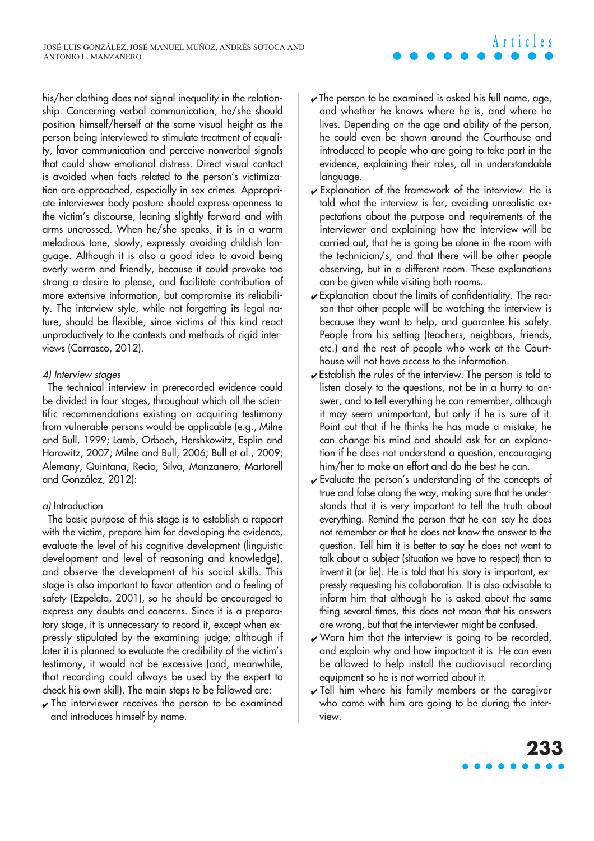his/her clothing does not signal inequality in the relationship. Concerning verbal communication, he/she should position himself/herself at the same visual height as the person being interviewed to stimulate treatment of equality, favor communication and perceive nonverbal signals that could show emotional distress. Direct visual contact is avoided when facts related to the person's victimization are approached, especially in sex crimes. Appropriate interviewer body posture should express openness to the victim's discourse, leaning slightly forward and with arms uncrossed. When he/she speaks, it is in a warm melodious tone, slowly, expressly avoiding childish language. Although it is also a good idea to avoid being overly warm and friendly, because it could provoke too strong a desire to please, and facilitate contribution of more extensive information, but compromise its reliability. The interview style, while not forgetting its legal nature, should be flexible, since victims of this kind react unproductively to the contexts and methods of rigid interviews (Carrasco, 2012).

#### 4) Interview stages

The technical interview in prerecorded evidence could be divided in four stages, throughout which all the scientific recommendations existing on acquiring testimony from vulnerable persons would be applicable (e.g., Milne and Bull, 1999; Lamb, Orbach, Hershkowitz, Esplin and Horowitz, 2007; Milne and Bull, 2006; Bull et al., 2009; Alemany, Quintana, Recio, Silva, Manzanero, Martorell and González, 2012):

### a) Introduction

The basic purpose of this stage is to establish a rapport with the victim, prepare him for developing the evidence, evaluate the level of his cognitive development (linguistic development and level of reasoning and knowledge), and observe the development of his social skills. This stage is also important to favor attention and a feeling of safety (Ezpeleta, 2001), so he should be encouraged to express any doubts and concerns. Since it is a preparatory stage, it is unnecessary to record it, except when expressly stipulated by the examining judge; although if later it is planned to evaluate the credibility of the victim's testimony, it would not be excessive (and, meanwhile, that recording could always be used by the expert to check his own skill). The main steps to be followed are:

 $\sqrt{ }$  The interviewer receives the person to be examined and introduces himself by name.

 $\sqrt{\ }$  The person to be examined is asked his full name, age, and whether he knows where he is, and where he lives. Depending on the age and ability of the person, he could even be shown around the Courthouse and introduced to people who are going to take part in the evidence, explaining their roles, all in understandable language.

**Articles**

- ✔ Explanation of the framework of the interview. He is told what the interview is for, avoiding unrealistic expectations about the purpose and requirements of the interviewer and explaining how the interview will be carried out, that he is going be alone in the room with the technician/s, and that there will be other people observing, but in a different room. These explanations can be given while visiting both rooms.
- $\sqrt{\frac{1}{2}}$  Explanation about the limits of confidentiality. The reason that other people will be watching the interview is because they want to help, and guarantee his safety. People from his setting (teachers, neighbors, friends, etc.) and the rest of people who work at the Courthouse will not have access to the information.
- ✔ Establish the rules of the interview. The person is told to listen closely to the questions, not be in a hurry to answer, and to tell everything he can remember, although it may seem unimportant, but only if he is sure of it. Point out that if he thinks he has made a mistake, he can change his mind and should ask for an explanation if he does not understand a question, encouraging him/her to make an effort and do the best he can.
- ✔ Evaluate the person's understanding of the concepts of true and false along the way, making sure that he understands that it is very important to tell the truth about everything. Remind the person that he can say he does not remember or that he does not know the answer to the question. Tell him it is better to say he does not want to talk about a subject (situation we have to respect) than to invent it (or lie). He is told that his story is important, expressly requesting his collaboration. It is also advisable to inform him that although he is asked about the same thing several times, this does not mean that his answers are wrong, but that the interviewer might be confused.
- ✔ Warn him that the interview is going to be recorded, and explain why and how important it is. He can even be allowed to help install the audiovisual recording equipment so he is not worried about it.
- $\sqrt{}$  Tell him where his family members or the caregiver who came with him are going to be during the interview.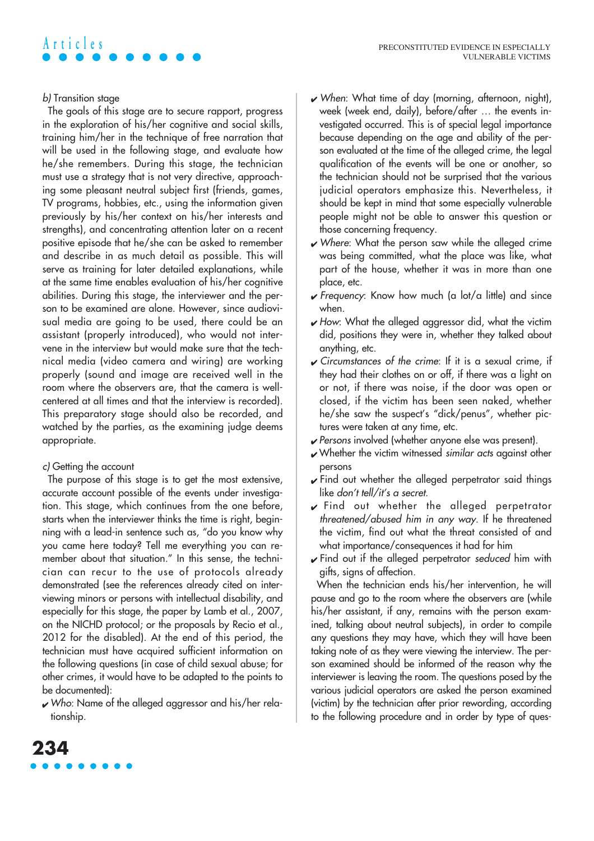# b) Transition stage

**Articles**

The goals of this stage are to secure rapport, progress in the exploration of his/her cognitive and social skills, training him/her in the technique of free narration that will be used in the following stage, and evaluate how he/she remembers. During this stage, the technician must use a strategy that is not very directive, approaching some pleasant neutral subject first (friends, games, TV programs, hobbies, etc., using the information given previously by his/her context on his/her interests and strengths), and concentrating attention later on a recent positive episode that he/she can be asked to remember and describe in as much detail as possible. This will serve as training for later detailed explanations, while at the same time enables evaluation of his/her cognitive abilities. During this stage, the interviewer and the person to be examined are alone. However, since audiovisual media are going to be used, there could be an assistant (properly introduced), who would not intervene in the interview but would make sure that the technical media (video camera and wiring) are working properly (sound and image are received well in the room where the observers are, that the camera is wellcentered at all times and that the interview is recorded). This preparatory stage should also be recorded, and watched by the parties, as the examining judge deems appropriate.

#### c) Getting the account

The purpose of this stage is to get the most extensive, accurate account possible of the events under investigation. This stage, which continues from the one before, starts when the interviewer thinks the time is right, beginning with a lead-in sentence such as, "do you know why you came here today? Tell me everything you can remember about that situation." In this sense, the technician can recur to the use of protocols already demonstrated (see the references already cited on interviewing minors or persons with intellectual disability, and especially for this stage, the paper by Lamb et al., 2007, on the NICHD protocol; or the proposals by Recio et al., 2012 for the disabled). At the end of this period, the technician must have acquired sufficient information on the following questions (in case of child sexual abuse; for other crimes, it would have to be adapted to the points to be documented):

 $\sqrt{\frac{1}{10}}$  Who: Name of the alleged aggressor and his/her relationship.

- $\vee$  When: What time of day (morning, afternoon, night), week (week end, daily), before/after … the events investigated occurred. This is of special legal importance because depending on the age and ability of the person evaluated at the time of the alleged crime, the legal qualification of the events will be one or another, so the technician should not be surprised that the various judicial operators emphasize this. Nevertheless, it should be kept in mind that some especially vulnerable people might not be able to answer this question or those concerning frequency.
- ✔ Where: What the person saw while the alleged crime was being committed, what the place was like, what part of the house, whether it was in more than one place, etc.
- $\sqrt{r}$  Frequency: Know how much (a lot/a little) and since when.
- $\sqrt{2}$  How: What the alleged aggressor did, what the victim did, positions they were in, whether they talked about anything, etc.
- ✔ Circumstances of the crime: If it is a sexual crime, if they had their clothes on or off, if there was a light on or not, if there was noise, if the door was open or closed, if the victim has been seen naked, whether he/she saw the suspect's "dick/penus", whether pictures were taken at any time, etc.
- ✔ Persons involved (whether anyone else was present).
- $\checkmark$  Whether the victim witnessed similar acts against other persons
- $\checkmark$  Find out whether the alleged perpetrator said things like don't tell/it's a secret.
- ✔ Find out whether the alleged perpetrator threatened/abused him in any way. If he threatened the victim, find out what the threat consisted of and what importance/consequences it had for him
- $\sqrt{\frac{1}{10}}$  Find out if the alleged perpetrator seduced him with gifts, signs of affection.

When the technician ends his/her intervention, he will pause and go to the room where the observers are (while his/her assistant, if any, remains with the person examined, talking about neutral subjects), in order to compile any questions they may have, which they will have been taking note of as they were viewing the interview. The person examined should be informed of the reason why the interviewer is leaving the room. The questions posed by the various judicial operators are asked the person examined (victim) by the technician after prior rewording, according to the following procedure and in order by type of ques-

# **234**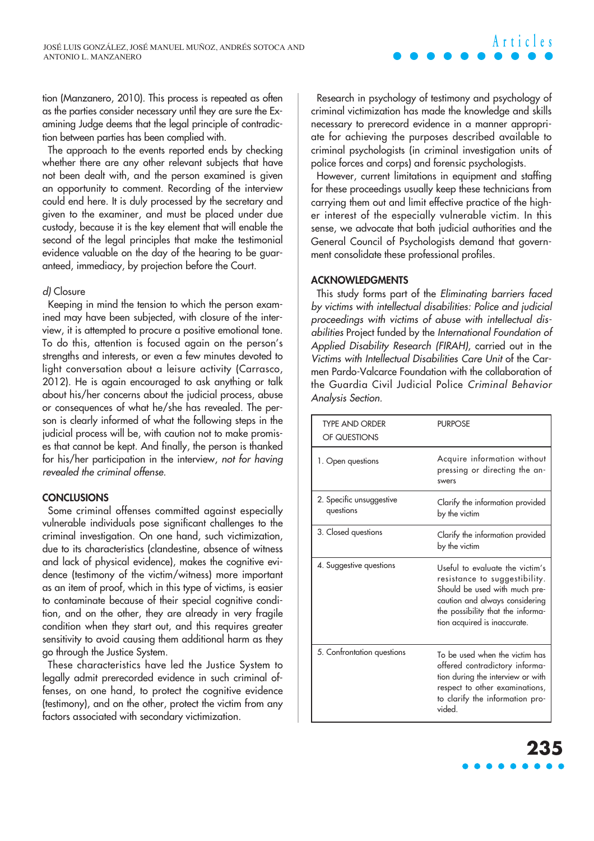tion (Manzanero, 2010). This process is repeated as often as the parties consider necessary until they are sure the Examining Judge deems that the legal principle of contradiction between parties has been complied with.

The approach to the events reported ends by checking whether there are any other relevant subjects that have not been dealt with, and the person examined is given an opportunity to comment. Recording of the interview could end here. It is duly processed by the secretary and given to the examiner, and must be placed under due custody, because it is the key element that will enable the second of the legal principles that make the testimonial evidence valuable on the day of the hearing to be guaranteed, immediacy, by projection before the Court.

#### d) Closure

Keeping in mind the tension to which the person examined may have been subjected, with closure of the interview, it is attempted to procure a positive emotional tone. To do this, attention is focused again on the person's strengths and interests, or even a few minutes devoted to light conversation about a leisure activity (Carrasco, 2012). He is again encouraged to ask anything or talk about his/her concerns about the judicial process, abuse or consequences of what he/she has revealed. The person is clearly informed of what the following steps in the judicial process will be, with caution not to make promises that cannot be kept. And finally, the person is thanked for his/her participation in the interview, not for having revealed the criminal offense.

#### **CONCLUSIONS**

Some criminal offenses committed against especially vulnerable individuals pose significant challenges to the criminal investigation. On one hand, such victimization, due to its characteristics (clandestine, absence of witness and lack of physical evidence), makes the cognitive evidence (testimony of the victim/witness) more important as an item of proof, which in this type of victims, is easier to contaminate because of their special cognitive condition, and on the other, they are already in very fragile condition when they start out, and this requires greater sensitivity to avoid causing them additional harm as they go through the Justice System.

These characteristics have led the Justice System to legally admit prerecorded evidence in such criminal offenses, on one hand, to protect the cognitive evidence (testimony), and on the other, protect the victim from any factors associated with secondary victimization.

Research in psychology of testimony and psychology of criminal victimization has made the knowledge and skills necessary to prerecord evidence in a manner appropriate for achieving the purposes described available to criminal psychologists (in criminal investigation units of police forces and corps) and forensic psychologists.

**Articles**

However, current limitations in equipment and staffing for these proceedings usually keep these technicians from carrying them out and limit effective practice of the higher interest of the especially vulnerable victim. In this sense, we advocate that both judicial authorities and the General Council of Psychologists demand that government consolidate these professional profiles.

#### **ACKNOWLEDGMENTS**

This study forms part of the Eliminating barriers faced by victims with intellectual disabilities: Police and judicial proceedings with victims of abuse with intellectual disabilities Project funded by the International Foundation of Applied Disability Research (FIRAH), carried out in the Victims with Intellectual Disabilities Care Unit of the Carmen Pardo-Valcarce Foundation with the collaboration of the Guardia Civil Judicial Police Criminal Behavior Analysis Section.

| <b>TYPE AND ORDER</b><br>OF QUESTIONS | <b>PURPOSE</b>                                                                                                                                                                                           |
|---------------------------------------|----------------------------------------------------------------------------------------------------------------------------------------------------------------------------------------------------------|
| 1. Open questions                     | Acquire information without<br>pressing or directing the an-<br>swers                                                                                                                                    |
| 2. Specific unsuggestive<br>questions | Clarify the information provided<br>by the victim                                                                                                                                                        |
| 3. Closed questions                   | Clarify the information provided<br>by the victim                                                                                                                                                        |
| 4. Suggestive questions               | Useful to evaluate the victim's<br>resistance to suggestibility.<br>Should be used with much pre-<br>caution and always considering<br>the possibility that the informa-<br>tion acquired is inaccurate. |
| 5. Confrontation questions            | To be used when the victim has<br>offered contradictory informa-<br>tion during the interview or with<br>respect to other examinations,<br>to clarify the information pro-<br>vided.                     |

# **235**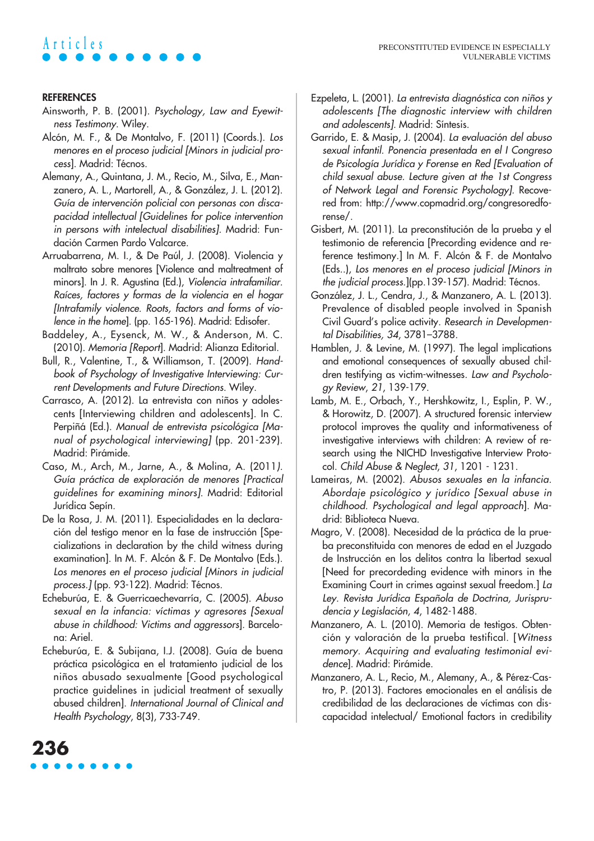# **Articles**

### **REFERENCES**

- Ainsworth, P. B. (2001). Psychology, Law and Eyewitness Testimony. Wiley.
- Alcón, M. F., & De Montalvo, F. (2011) (Coords.). Los menores en el proceso judicial [Minors in judicial process]. Madrid: Técnos.
- Alemany, A., Quintana, J. M., Recio, M., Silva, E., Manzanero, A. L., Martorell, A., & González, J. L. (2012). Guía de intervención policial con personas con discapacidad intellectual [Guidelines for police intervention in persons with intelectual disabilities]. Madrid: Fundación Carmen Pardo Valcarce.
- Arruabarrena, M. I., & De Paúl, J. (2008). Violencia y maltrato sobre menores [Violence and maltreatment of minors]. In J. R. Agustina (Ed.), Violencia intrafamiliar. Raíces, factores y formas de la violencia en el hogar [Intrafamily violence. Roots, factors and forms of violence in the home]. (pp. 165-196). Madrid: Edisofer.
- Baddeley, A., Eysenck, M. W., & Anderson, M. C. (2010). Memoria [Report]. Madrid: Alianza Editorial.
- Bull, R., Valentine, T., & Williamson, T. (2009). Handbook of Psychology of Investigative Interviewing: Current Developments and Future Directions. Wiley.
- Carrasco, A. (2012). La entrevista con niños y adolescents [Interviewing children and adolescents]. In C. Perpiñá (Ed.). Manual de entrevista psicológica [Manual of psychological interviewing] (pp. 201-239). Madrid: Pirámide.
- Caso, M., Arch, M., Jarne, A., & Molina, A. (2011). Guía práctica de exploración de menores [Practical guidelines for examining minors]. Madrid: Editorial Jurídica Sepín.
- De la Rosa, J. M. (2011). Especialidades en la declaración del testigo menor en la fase de instrucción [Specializations in declaration by the child witness during examination]. In M. F. Alcón & F. De Montalvo (Eds.). Los menores en el proceso judicial [Minors in judicial process.] (pp. 93-122). Madrid: Técnos.
- Echeburúa, E. & Guerricaechevarría, C. (2005). Abuso sexual en la infancia: víctimas y agresores [Sexual abuse in childhood: Victims and aggressors]. Barcelona: Ariel.
- Echeburúa, E. & Subijana, I.J. (2008). Guía de buena práctica psicológica en el tratamiento judicial de los niños abusado sexualmente [Good psychological practice guidelines in judicial treatment of sexually abused children]. International Journal of Clinical and Health Psychology, 8(3), 733-749.
- Ezpeleta, L. (2001). La entrevista diagnóstica con niños y adolescents [The diagnostic interview with children and adolescents]. Madrid: Síntesis.
- Garrido, E. & Masip, J. (2004). La evaluación del abuso sexual infantil. Ponencia presentada en el I Congreso de Psicología Jurídica y Forense en Red [Evaluation of child sexual abuse. Lecture given at the 1st Congress of Network Legal and Forensic Psychology]. Recovered from: http://www.copmadrid.org/congresoredforense/.
- Gisbert, M. (2011). La preconstitución de la prueba y el testimonio de referencia [Precording evidence and reference testimony.] In M. F. Alcón & F. de Montalvo (Eds..), Los menores en el proceso judicial [Minors in the judicial process.](pp.139-157). Madrid: Técnos.
- González, J. L., Cendra, J., & Manzanero, A. L. (2013). Prevalence of disabled people involved in Spanish Civil Guard's police activity. Research in Developmental Disabilities, 34, 3781–3788.
- Hamblen, J. & Levine, M. (1997). The legal implications and emotional consequences of sexually abused children testifying as victim-witnesses. Law and Psychology Review, 21, 139-179.
- Lamb, M. E., Orbach, Y., Hershkowitz, I., Esplin, P. W., & Horowitz, D. (2007). A structured forensic interview protocol improves the quality and informativeness of investigative interviews with children: A review of research using the NICHD Investigative Interview Protocol. Child Abuse & Neglect, 31, 1201 - 1231.
- Lameiras, M. (2002). Abusos sexuales en la infancia. Abordaje psicológico y jurídico [Sexual abuse in childhood. Psychological and legal approach]. Madrid: Biblioteca Nueva.
- Magro, V. (2008). Necesidad de la práctica de la prueba preconstituida con menores de edad en el Juzgado de Instrucción en los delitos contra la libertad sexual [Need for precordeding evidence with minors in the Examining Court in crimes against sexual freedom.] La Ley. Revista Jurídica Española de Doctrina, Jurisprudencia <sup>y</sup>Legislación, 4, 1482-1488.
- Manzanero, A. L. (2010). Memoria de testigos. Obtención y valoración de la prueba testifical. [Witness memory. Acquiring and evaluating testimonial evidence]. Madrid: Pirámide.
- Manzanero, A. L., Recio, M., Alemany, A., & Pérez-Castro, P. (2013). Factores emocionales en el análisis de credibilidad de las declaraciones de víctimas con discapacidad intelectual/ Emotional factors in credibility